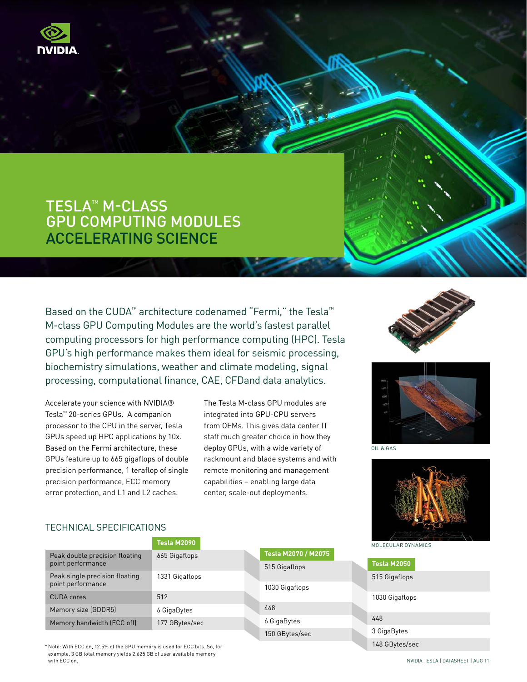

# TESLA™ M-Class GPU Computing Modules Accelerating Science

Based on the CUDA™ architecture codenamed "Fermi," the Tesla™ M-class GPU Computing Modules are the world's fastest parallel computing processors for high performance computing (HPC). Tesla GPU's high performance makes them ideal for seismic processing, biochemistry simulations, weather and climate modeling, signal processing, computational finance, CAE, CFDand data analytics.

Accelerate your science with NVIDIA® Tesla™ 20-series GPUs. A companion processor to the CPU in the server, Tesla GPUs speed up HPC applications by 10x. Based on the Fermi architecture, these GPUs feature up to 665 gigaflops of double precision performance, 1 teraflop of single precision performance, ECC memory error protection, and L1 and L2 caches.

The Tesla M-class GPU modules are integrated into GPU-CPU servers from OEMs. This gives data center IT staff much greater choice in how they deploy GPUs, with a wide variety of rackmount and blade systems and with remote monitoring and management capabilities – enabling large data center, scale-out deployments.





oil & gas

148 GBytes/sec



## TECHNICAL SPECIFICATIONS

|                                | Tesla M2090    |                     | MOLECULAR DYNAMICS |
|--------------------------------|----------------|---------------------|--------------------|
| Peak double precision floating | 665 Gigaflops  | Tesla M2070 / M2075 |                    |
| point performance              |                | 515 Gigaflops       | Tesla M2050        |
| Peak single precision floating | 1331 Gigaflops |                     | 515 Gigaflops      |
| point performance              |                | 1030 Gigaflops      |                    |
| <b>CUDA</b> cores              | 512            |                     | 1030 Gigaflops     |
| Memory size (GDDR5)            | 6 GigaBytes    | 448                 |                    |
| Memory bandwidth (ECC off)     | 177 GBytes/sec | 6 GigaBytes         | 448                |
|                                |                | 150 GBytes/sec      | 3 GigaBytes        |

\* Note: With ECC on, 12.5% of the GPU memory is used for ECC bits. So, for example, 3 GB total memory yields 2.625 GB of user available memory with ECC on.